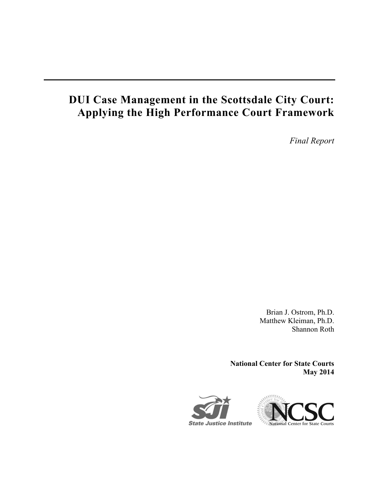# **DUI Case Management in the Scottsdale City Court: Applying the High Performance Court Framework**

*Final Report* 

Brian J. Ostrom, Ph.D. Matthew Kleiman, Ph.D. Shannon Roth

**National Center for State Courts May 2014** 

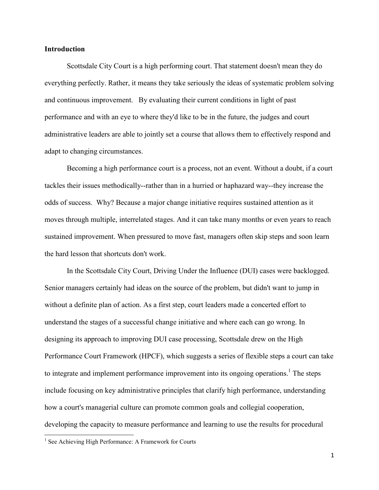#### **Introduction**

 Scottsdale City Court is a high performing court. That statement doesn't mean they do everything perfectly. Rather, it means they take seriously the ideas of systematic problem solving and continuous improvement. By evaluating their current conditions in light of past performance and with an eye to where they'd like to be in the future, the judges and court administrative leaders are able to jointly set a course that allows them to effectively respond and adapt to changing circumstances.

 Becoming a high performance court is a process, not an event. Without a doubt, if a court tackles their issues methodically--rather than in a hurried or haphazard way--they increase the odds of success. Why? Because a major change initiative requires sustained attention as it moves through multiple, interrelated stages. And it can take many months or even years to reach sustained improvement. When pressured to move fast, managers often skip steps and soon learn the hard lesson that shortcuts don't work.

 In the Scottsdale City Court, Driving Under the Influence (DUI) cases were backlogged. Senior managers certainly had ideas on the source of the problem, but didn't want to jump in without a definite plan of action. As a first step, court leaders made a concerted effort to understand the stages of a successful change initiative and where each can go wrong. In designing its approach to improving DUI case processing, Scottsdale drew on the High Performance Court Framework (HPCF), which suggests a series of flexible steps a court can take to integrate and implement performance improvement into its ongoing operations.<sup>1</sup> The steps include focusing on key administrative principles that clarify high performance, understanding how a court's managerial culture can promote common goals and collegial cooperation, developing the capacity to measure performance and learning to use the results for procedural

-

<sup>&</sup>lt;sup>1</sup> See Achieving High Performance: A Framework for Courts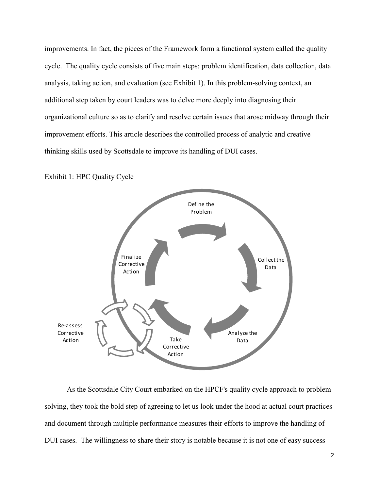improvements. In fact, the pieces of the Framework form a functional system called the quality cycle. The quality cycle consists of five main steps: problem identification, data collection, data analysis, taking action, and evaluation (see Exhibit 1). In this problem-solving context, an additional step taken by court leaders was to delve more deeply into diagnosing their organizational culture so as to clarify and resolve certain issues that arose midway through their improvement efforts. This article describes the controlled process of analytic and creative thinking skills used by Scottsdale to improve its handling of DUI cases.



Exhibit 1: HPC Quality Cycle

 As the Scottsdale City Court embarked on the HPCF's quality cycle approach to problem solving, they took the bold step of agreeing to let us look under the hood at actual court practices and document through multiple performance measures their efforts to improve the handling of DUI cases. The willingness to share their story is notable because it is not one of easy success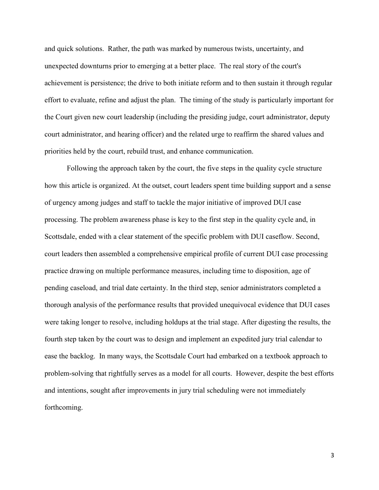and quick solutions. Rather, the path was marked by numerous twists, uncertainty, and unexpected downturns prior to emerging at a better place. The real story of the court's achievement is persistence; the drive to both initiate reform and to then sustain it through regular effort to evaluate, refine and adjust the plan. The timing of the study is particularly important for the Court given new court leadership (including the presiding judge, court administrator, deputy court administrator, and hearing officer) and the related urge to reaffirm the shared values and priorities held by the court, rebuild trust, and enhance communication.

 Following the approach taken by the court, the five steps in the quality cycle structure how this article is organized. At the outset, court leaders spent time building support and a sense of urgency among judges and staff to tackle the major initiative of improved DUI case processing. The problem awareness phase is key to the first step in the quality cycle and, in Scottsdale, ended with a clear statement of the specific problem with DUI caseflow. Second, court leaders then assembled a comprehensive empirical profile of current DUI case processing practice drawing on multiple performance measures, including time to disposition, age of pending caseload, and trial date certainty. In the third step, senior administrators completed a thorough analysis of the performance results that provided unequivocal evidence that DUI cases were taking longer to resolve, including holdups at the trial stage. After digesting the results, the fourth step taken by the court was to design and implement an expedited jury trial calendar to ease the backlog. In many ways, the Scottsdale Court had embarked on a textbook approach to problem-solving that rightfully serves as a model for all courts. However, despite the best efforts and intentions, sought after improvements in jury trial scheduling were not immediately forthcoming.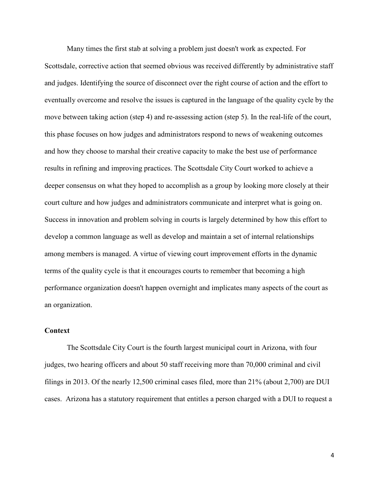Many times the first stab at solving a problem just doesn't work as expected. For Scottsdale, corrective action that seemed obvious was received differently by administrative staff and judges. Identifying the source of disconnect over the right course of action and the effort to eventually overcome and resolve the issues is captured in the language of the quality cycle by the move between taking action (step 4) and re-assessing action (step 5). In the real-life of the court, this phase focuses on how judges and administrators respond to news of weakening outcomes and how they choose to marshal their creative capacity to make the best use of performance results in refining and improving practices. The Scottsdale City Court worked to achieve a deeper consensus on what they hoped to accomplish as a group by looking more closely at their court culture and how judges and administrators communicate and interpret what is going on. Success in innovation and problem solving in courts is largely determined by how this effort to develop a common language as well as develop and maintain a set of internal relationships among members is managed. A virtue of viewing court improvement efforts in the dynamic terms of the quality cycle is that it encourages courts to remember that becoming a high performance organization doesn't happen overnight and implicates many aspects of the court as an organization.

### **Context**

 The Scottsdale City Court is the fourth largest municipal court in Arizona, with four judges, two hearing officers and about 50 staff receiving more than 70,000 criminal and civil filings in 2013. Of the nearly 12,500 criminal cases filed, more than 21% (about 2,700) are DUI cases. Arizona has a statutory requirement that entitles a person charged with a DUI to request a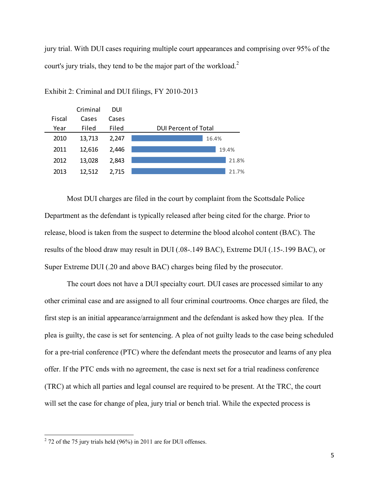jury trial. With DUI cases requiring multiple court appearances and comprising over 95% of the court's jury trials, they tend to be the major part of the workload. $2$ 



Exhibit 2: Criminal and DUI filings, FY 2010-2013

Most DUI charges are filed in the court by complaint from the Scottsdale Police Department as the defendant is typically released after being cited for the charge. Prior to release, blood is taken from the suspect to determine the blood alcohol content (BAC). The results of the blood draw may result in DUI (.08-.149 BAC), Extreme DUI (.15-.199 BAC), or Super Extreme DUI (.20 and above BAC) charges being filed by the prosecutor.

 The court does not have a DUI specialty court. DUI cases are processed similar to any other criminal case and are assigned to all four criminal courtrooms. Once charges are filed, the first step is an initial appearance/arraignment and the defendant is asked how they plea. If the plea is guilty, the case is set for sentencing. A plea of not guilty leads to the case being scheduled for a pre-trial conference (PTC) where the defendant meets the prosecutor and learns of any plea offer. If the PTC ends with no agreement, the case is next set for a trial readiness conference (TRC) at which all parties and legal counsel are required to be present. At the TRC, the court will set the case for change of plea, jury trial or bench trial. While the expected process is

<sup>&</sup>lt;sup>2</sup> 72 of the 75 jury trials held (96%) in 2011 are for DUI offenses.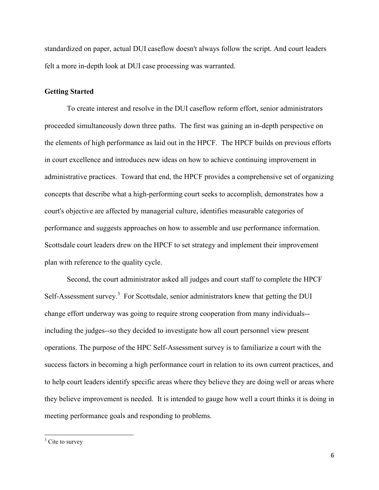standardized on paper, actual DUI caseflow doesn't always follow the script. And court leaders felt a more in-depth look at DUI case processing was warranted.

#### **Getting Started**

To create interest and resolve in the DUI caseflow reform effort, senior administrators proceeded simultaneously down three paths. The first was gaining an in-depth perspective on the elements of high performance as laid out in the HPCF. The HPCF builds on previous efforts in court excellence and introduces new ideas on how to achieve continuing improvement in administrative practices. Toward that end, the HPCF provides a comprehensive set of organizing concepts that describe what a high-performing court seeks to accomplish, demonstrates how a court's objective are affected by managerial culture, identifies measurable categories of performance and suggests approaches on how to assemble and use performance information. Scottsdale court leaders drew on the HPCF to set strategy and implement their improvement plan with reference to the quality cycle.

 Second, the court administrator asked all judges and court staff to complete the HPCF Self-Assessment survey.<sup>3</sup> For Scottsdale, senior administrators knew that getting the DUI change effort underway was going to require strong cooperation from many individuals- including the judges--so they decided to investigate how all court personnel view present operations. The purpose of the HPC Self-Assessment survey is to familiarize a court with the success factors in becoming a high performance court in relation to its own current practices, and to help court leaders identify specific areas where they believe they are doing well or areas where they believe improvement is needed. It is intended to gauge how well a court thinks it is doing in meeting performance goals and responding to problems.

 $3 \text{ Cite to survey}$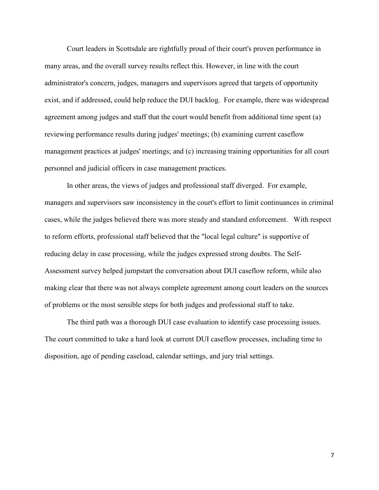Court leaders in Scottsdale are rightfully proud of their court's proven performance in many areas, and the overall survey results reflect this. However, in line with the court administrator's concern, judges, managers and supervisors agreed that targets of opportunity exist, and if addressed, could help reduce the DUI backlog. For example, there was widespread agreement among judges and staff that the court would benefit from additional time spent (a) reviewing performance results during judges' meetings; (b) examining current caseflow management practices at judges' meetings; and (c) increasing training opportunities for all court personnel and judicial officers in case management practices.

 In other areas, the views of judges and professional staff diverged. For example, managers and supervisors saw inconsistency in the court's effort to limit continuances in criminal cases, while the judges believed there was more steady and standard enforcement. With respect to reform efforts, professional staff believed that the "local legal culture" is supportive of reducing delay in case processing, while the judges expressed strong doubts. The Self-Assessment survey helped jumpstart the conversation about DUI caseflow reform, while also making clear that there was not always complete agreement among court leaders on the sources of problems or the most sensible steps for both judges and professional staff to take.

 The third path was a thorough DUI case evaluation to identify case processing issues. The court committed to take a hard look at current DUI caseflow processes, including time to disposition, age of pending caseload, calendar settings, and jury trial settings.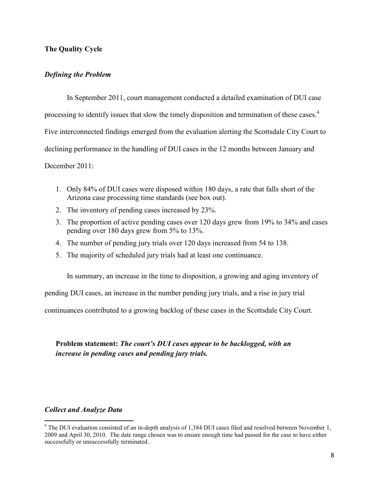## **The Quality Cycle**

## *Defining the Problem*

 In September 2011, court management conducted a detailed examination of DUI case processing to identify issues that slow the timely disposition and termination of these cases.<sup>4</sup> Five interconnected findings emerged from the evaluation alerting the Scottsdale City Court to declining performance in the handling of DUI cases in the 12 months between January and December 2011:

- 1. Only 84% of DUI cases were disposed within 180 days, a rate that falls short of the Arizona case processing time standards (see box out).
- 2. The inventory of pending cases increased by 23%.
- 3. The proportion of active pending cases over 120 days grew from 19% to 34% and cases pending over 180 days grew from 5% to 13%.
- 4. The number of pending jury trials over 120 days increased from 54 to 138.
- 5. The majority of scheduled jury trials had at least one continuance.

In summary, an increase in the time to disposition, a growing and aging inventory of

pending DUI cases, an increase in the number pending jury trials, and a rise in jury trial

continuances contributed to a growing backlog of these cases in the Scottsdale City Court.

# **Problem statement:** *The court's DUI cases appear to be backlogged, with an increase in pending cases and pending jury trials.*

### *Collect and Analyze Data*

<u>.</u>

<sup>&</sup>lt;sup>4</sup> The DUI evaluation consisted of an in-depth analysis of 1,384 DUI cases filed and resolved between November 1, 2009 and April 30, 2010. The date range chosen was to ensure enough time had passed for the case to have either successfully or unsuccessfully terminated.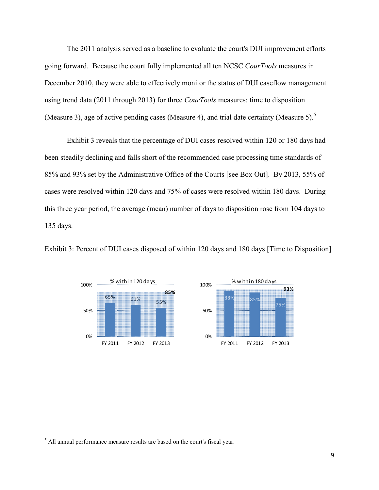The 2011 analysis served as a baseline to evaluate the court's DUI improvement efforts going forward. Because the court fully implemented all ten NCSC *CourTools* measures in December 2010, they were able to effectively monitor the status of DUI caseflow management using trend data (2011 through 2013) for three *CourTools* measures: time to disposition (Measure 3), age of active pending cases (Measure 4), and trial date certainty (Measure 5).<sup>5</sup>

Exhibit 3 reveals that the percentage of DUI cases resolved within 120 or 180 days had been steadily declining and falls short of the recommended case processing time standards of 85% and 93% set by the Administrative Office of the Courts [see Box Out]. By 2013, 55% of cases were resolved within 120 days and 75% of cases were resolved within 180 days. During this three year period, the average (mean) number of days to disposition rose from 104 days to 135 days.





-

<sup>&</sup>lt;sup>5</sup> All annual performance measure results are based on the court's fiscal year.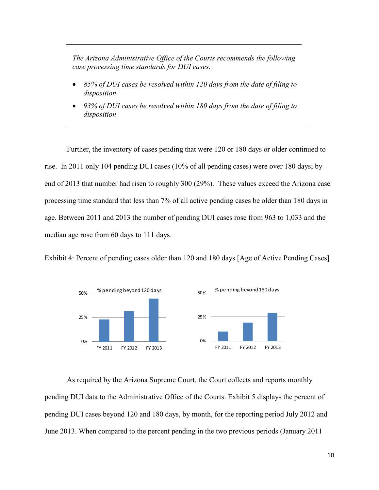*The Arizona Administrative Office of the Courts recommends the following case processing time standards for DUI cases:* 

- *85% of DUI cases be resolved within 120 days from the date of filing to disposition*
- *93% of DUI cases be resolved within 180 days from the date of filing to disposition*

Further, the inventory of cases pending that were 120 or 180 days or older continued to rise. In 2011 only 104 pending DUI cases (10% of all pending cases) were over 180 days; by end of 2013 that number had risen to roughly 300 (29%). These values exceed the Arizona case processing time standard that less than 7% of all active pending cases be older than 180 days in age. Between 2011 and 2013 the number of pending DUI cases rose from 963 to 1,033 and the median age rose from 60 days to 111 days.





As required by the Arizona Supreme Court, the Court collects and reports monthly pending DUI data to the Administrative Office of the Courts. Exhibit 5 displays the percent of pending DUI cases beyond 120 and 180 days, by month, for the reporting period July 2012 and June 2013. When compared to the percent pending in the two previous periods (January 2011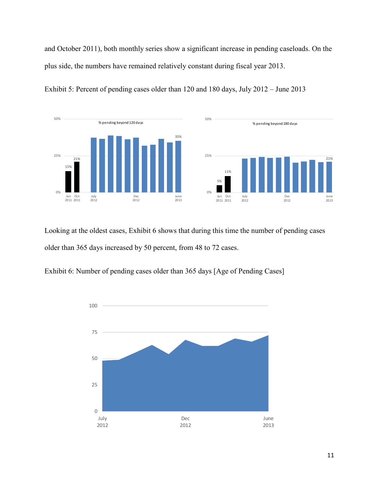and October 2011), both monthly series show a significant increase in pending caseloads. On the plus side, the numbers have remained relatively constant during fiscal year 2013.



Exhibit 5: Percent of pending cases older than 120 and 180 days, July 2012 – June 2013

Looking at the oldest cases, Exhibit 6 shows that during this time the number of pending cases older than 365 days increased by 50 percent, from 48 to 72 cases.

Exhibit 6: Number of pending cases older than 365 days [Age of Pending Cases]

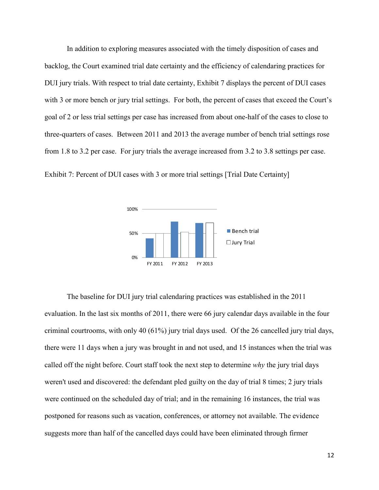In addition to exploring measures associated with the timely disposition of cases and backlog, the Court examined trial date certainty and the efficiency of calendaring practices for DUI jury trials. With respect to trial date certainty, Exhibit 7 displays the percent of DUI cases with 3 or more bench or jury trial settings. For both, the percent of cases that exceed the Court's goal of 2 or less trial settings per case has increased from about one-half of the cases to close to three-quarters of cases. Between 2011 and 2013 the average number of bench trial settings rose from 1.8 to 3.2 per case. For jury trials the average increased from 3.2 to 3.8 settings per case.

Exhibit 7: Percent of DUI cases with 3 or more trial settings [Trial Date Certainty]



The baseline for DUI jury trial calendaring practices was established in the 2011 evaluation. In the last six months of 2011, there were 66 jury calendar days available in the four criminal courtrooms, with only 40 (61%) jury trial days used. Of the 26 cancelled jury trial days, there were 11 days when a jury was brought in and not used, and 15 instances when the trial was called off the night before. Court staff took the next step to determine *why* the jury trial days weren't used and discovered: the defendant pled guilty on the day of trial 8 times; 2 jury trials were continued on the scheduled day of trial; and in the remaining 16 instances, the trial was postponed for reasons such as vacation, conferences, or attorney not available. The evidence suggests more than half of the cancelled days could have been eliminated through firmer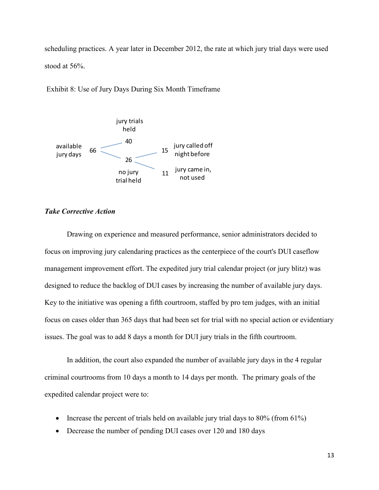scheduling practices. A year later in December 2012, the rate at which jury trial days were used stood at 56%.

Exhibit 8: Use of Jury Days During Six Month Timeframe



#### *Take Corrective Action*

 Drawing on experience and measured performance, senior administrators decided to focus on improving jury calendaring practices as the centerpiece of the court's DUI caseflow management improvement effort. The expedited jury trial calendar project (or jury blitz) was designed to reduce the backlog of DUI cases by increasing the number of available jury days. Key to the initiative was opening a fifth courtroom, staffed by pro tem judges, with an initial focus on cases older than 365 days that had been set for trial with no special action or evidentiary issues. The goal was to add 8 days a month for DUI jury trials in the fifth courtroom.

 In addition, the court also expanded the number of available jury days in the 4 regular criminal courtrooms from 10 days a month to 14 days per month. The primary goals of the expedited calendar project were to:

- Increase the percent of trials held on available jury trial days to 80% (from 61%)
- Decrease the number of pending DUI cases over 120 and 180 days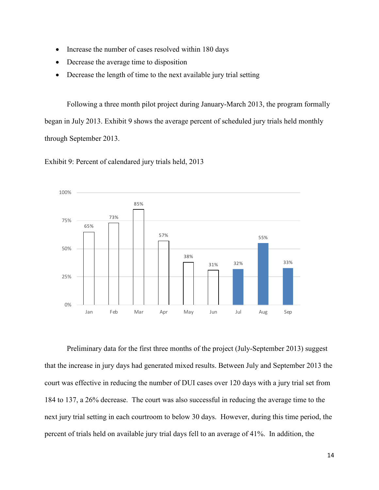- Increase the number of cases resolved within 180 days
- Decrease the average time to disposition
- Decrease the length of time to the next available jury trial setting

Following a three month pilot project during January-March 2013, the program formally began in July 2013. Exhibit 9 shows the average percent of scheduled jury trials held monthly through September 2013.

65% 73% 85% 57% 38% 31% 32% 55% 33% 0% 25% 50% 75% 100% Jan Feb Mar Apr May Jun Jul Aug Sep

Exhibit 9: Percent of calendared jury trials held, 2013

Preliminary data for the first three months of the project (July-September 2013) suggest that the increase in jury days had generated mixed results. Between July and September 2013 the court was effective in reducing the number of DUI cases over 120 days with a jury trial set from 184 to 137, a 26% decrease. The court was also successful in reducing the average time to the next jury trial setting in each courtroom to below 30 days. However, during this time period, the percent of trials held on available jury trial days fell to an average of 41%. In addition, the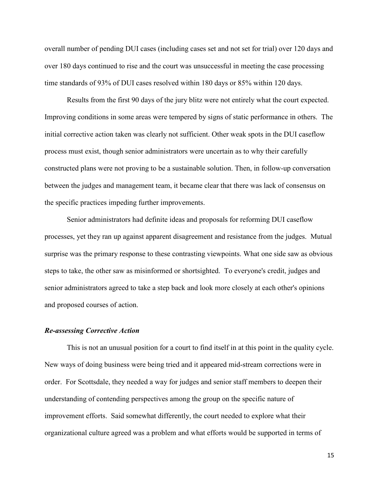overall number of pending DUI cases (including cases set and not set for trial) over 120 days and over 180 days continued to rise and the court was unsuccessful in meeting the case processing time standards of 93% of DUI cases resolved within 180 days or 85% within 120 days.

Results from the first 90 days of the jury blitz were not entirely what the court expected. Improving conditions in some areas were tempered by signs of static performance in others. The initial corrective action taken was clearly not sufficient. Other weak spots in the DUI caseflow process must exist, though senior administrators were uncertain as to why their carefully constructed plans were not proving to be a sustainable solution. Then, in follow-up conversation between the judges and management team, it became clear that there was lack of consensus on the specific practices impeding further improvements.

Senior administrators had definite ideas and proposals for reforming DUI caseflow processes, yet they ran up against apparent disagreement and resistance from the judges. Mutual surprise was the primary response to these contrasting viewpoints. What one side saw as obvious steps to take, the other saw as misinformed or shortsighted. To everyone's credit, judges and senior administrators agreed to take a step back and look more closely at each other's opinions and proposed courses of action.

### *Re-assessing Corrective Action*

This is not an unusual position for a court to find itself in at this point in the quality cycle. New ways of doing business were being tried and it appeared mid-stream corrections were in order. For Scottsdale, they needed a way for judges and senior staff members to deepen their understanding of contending perspectives among the group on the specific nature of improvement efforts. Said somewhat differently, the court needed to explore what their organizational culture agreed was a problem and what efforts would be supported in terms of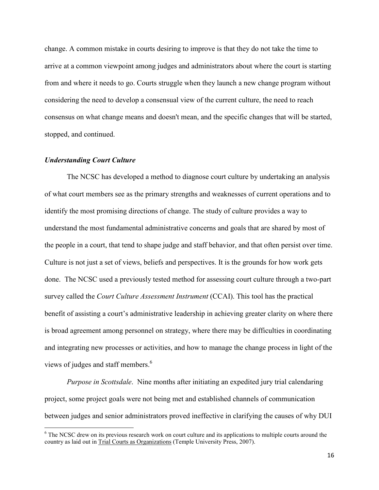change. A common mistake in courts desiring to improve is that they do not take the time to arrive at a common viewpoint among judges and administrators about where the court is starting from and where it needs to go. Courts struggle when they launch a new change program without considering the need to develop a consensual view of the current culture, the need to reach consensus on what change means and doesn't mean, and the specific changes that will be started, stopped, and continued.

#### *Understanding Court Culture*

-

The NCSC has developed a method to diagnose court culture by undertaking an analysis of what court members see as the primary strengths and weaknesses of current operations and to identify the most promising directions of change. The study of culture provides a way to understand the most fundamental administrative concerns and goals that are shared by most of the people in a court, that tend to shape judge and staff behavior, and that often persist over time. Culture is not just a set of views, beliefs and perspectives. It is the grounds for how work gets done. The NCSC used a previously tested method for assessing court culture through a two-part survey called the *Court Culture Assessment Instrument* (CCAI). This tool has the practical benefit of assisting a court's administrative leadership in achieving greater clarity on where there is broad agreement among personnel on strategy, where there may be difficulties in coordinating and integrating new processes or activities, and how to manage the change process in light of the views of judges and staff members.<sup>6</sup>

*Purpose in Scottsdale*. Nine months after initiating an expedited jury trial calendaring project, some project goals were not being met and established channels of communication between judges and senior administrators proved ineffective in clarifying the causes of why DUI

<sup>&</sup>lt;sup>6</sup> The NCSC drew on its previous research work on court culture and its applications to multiple courts around the country as laid out in Trial Courts as Organizations (Temple University Press, 2007).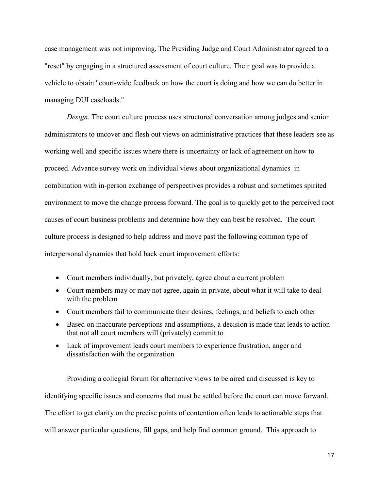case management was not improving. The Presiding Judge and Court Administrator agreed to a "reset" by engaging in a structured assessment of court culture. Their goal was to provide a vehicle to obtain "court-wide feedback on how the court is doing and how we can do better in managing DUI caseloads."

*Design*. The court culture process uses structured conversation among judges and senior administrators to uncover and flesh out views on administrative practices that these leaders see as working well and specific issues where there is uncertainty or lack of agreement on how to proceed. Advance survey work on individual views about organizational dynamics in combination with in-person exchange of perspectives provides a robust and sometimes spirited environment to move the change process forward. The goal is to quickly get to the perceived root causes of court business problems and determine how they can best be resolved. The court culture process is designed to help address and move past the following common type of interpersonal dynamics that hold back court improvement efforts:

- Court members individually, but privately, agree about a current problem
- Court members may or may not agree, again in private, about what it will take to deal with the problem
- Court members fail to communicate their desires, feelings, and beliefs to each other
- Based on inaccurate perceptions and assumptions, a decision is made that leads to action that not all court members will (privately) commit to
- Lack of improvement leads court members to experience frustration, anger and dissatisfaction with the organization

Providing a collegial forum for alternative views to be aired and discussed is key to identifying specific issues and concerns that must be settled before the court can move forward. The effort to get clarity on the precise points of contention often leads to actionable steps that will answer particular questions, fill gaps, and help find common ground. This approach to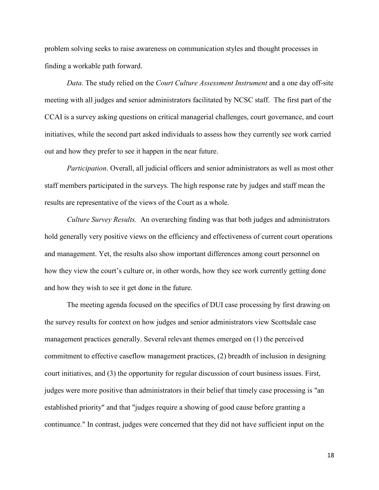problem solving seeks to raise awareness on communication styles and thought processes in finding a workable path forward.

 *Data.* The study relied on the *Court Culture Assessment Instrument* and a one day off-site meeting with all judges and senior administrators facilitated by NCSC staff. The first part of the CCAI is a survey asking questions on critical managerial challenges, court governance, and court initiatives, while the second part asked individuals to assess how they currently see work carried out and how they prefer to see it happen in the near future.

 *Participation*. Overall, all judicial officers and senior administrators as well as most other staff members participated in the surveys. The high response rate by judges and staff mean the results are representative of the views of the Court as a whole.

*Culture Survey Results.* An overarching finding was that both judges and administrators hold generally very positive views on the efficiency and effectiveness of current court operations and management. Yet, the results also show important differences among court personnel on how they view the court's culture or, in other words, how they see work currently getting done and how they wish to see it get done in the future.

 The meeting agenda focused on the specifics of DUI case processing by first drawing on the survey results for context on how judges and senior administrators view Scottsdale case management practices generally. Several relevant themes emerged on (1) the perceived commitment to effective caseflow management practices, (2) breadth of inclusion in designing court initiatives, and (3) the opportunity for regular discussion of court business issues. First, judges were more positive than administrators in their belief that timely case processing is "an established priority" and that "judges require a showing of good cause before granting a continuance." In contrast, judges were concerned that they did not have sufficient input on the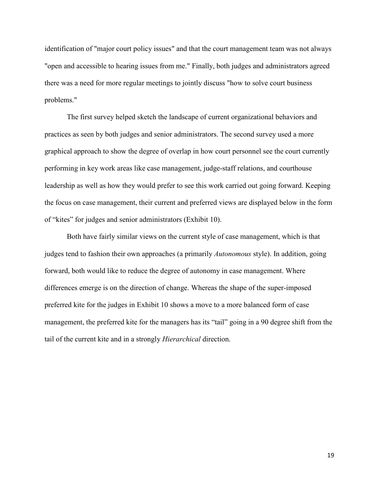identification of "major court policy issues" and that the court management team was not always "open and accessible to hearing issues from me." Finally, both judges and administrators agreed there was a need for more regular meetings to jointly discuss "how to solve court business problems."

The first survey helped sketch the landscape of current organizational behaviors and practices as seen by both judges and senior administrators. The second survey used a more graphical approach to show the degree of overlap in how court personnel see the court currently performing in key work areas like case management, judge-staff relations, and courthouse leadership as well as how they would prefer to see this work carried out going forward. Keeping the focus on case management, their current and preferred views are displayed below in the form of "kites" for judges and senior administrators (Exhibit 10).

Both have fairly similar views on the current style of case management, which is that judges tend to fashion their own approaches (a primarily *Autonomous* style). In addition, going forward, both would like to reduce the degree of autonomy in case management. Where differences emerge is on the direction of change. Whereas the shape of the super-imposed preferred kite for the judges in Exhibit 10 shows a move to a more balanced form of case management, the preferred kite for the managers has its "tail" going in a 90 degree shift from the tail of the current kite and in a strongly *Hierarchical* direction.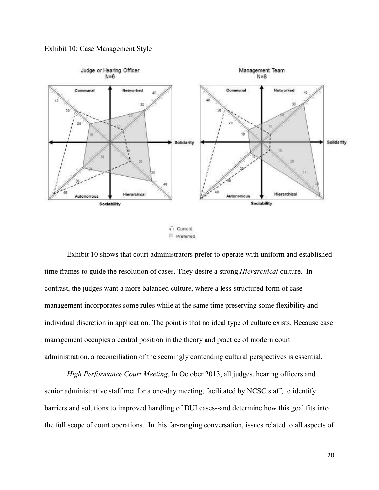



G Current  $\Box$  Preferred

 Exhibit 10 shows that court administrators prefer to operate with uniform and established time frames to guide the resolution of cases. They desire a strong *Hierarchical* culture. In contrast, the judges want a more balanced culture, where a less-structured form of case management incorporates some rules while at the same time preserving some flexibility and individual discretion in application. The point is that no ideal type of culture exists. Because case management occupies a central position in the theory and practice of modern court administration, a reconciliation of the seemingly contending cultural perspectives is essential.

*High Performance Court Meeting*. In October 2013, all judges, hearing officers and senior administrative staff met for a one-day meeting, facilitated by NCSC staff, to identify barriers and solutions to improved handling of DUI cases--and determine how this goal fits into the full scope of court operations. In this far-ranging conversation, issues related to all aspects of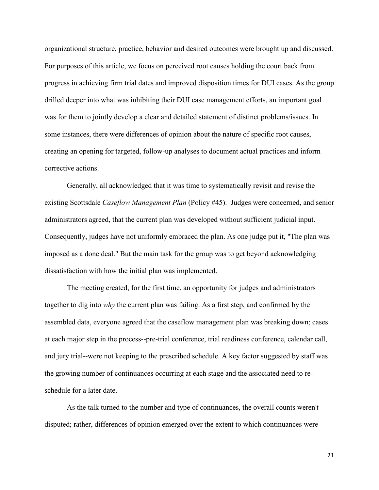organizational structure, practice, behavior and desired outcomes were brought up and discussed. For purposes of this article, we focus on perceived root causes holding the court back from progress in achieving firm trial dates and improved disposition times for DUI cases. As the group drilled deeper into what was inhibiting their DUI case management efforts, an important goal was for them to jointly develop a clear and detailed statement of distinct problems/issues. In some instances, there were differences of opinion about the nature of specific root causes, creating an opening for targeted, follow-up analyses to document actual practices and inform corrective actions.

 Generally, all acknowledged that it was time to systematically revisit and revise the existing Scottsdale *Caseflow Management Plan* (Policy #45). Judges were concerned, and senior administrators agreed, that the current plan was developed without sufficient judicial input. Consequently, judges have not uniformly embraced the plan. As one judge put it, "The plan was imposed as a done deal." But the main task for the group was to get beyond acknowledging dissatisfaction with how the initial plan was implemented.

 The meeting created, for the first time, an opportunity for judges and administrators together to dig into *why* the current plan was failing. As a first step, and confirmed by the assembled data, everyone agreed that the caseflow management plan was breaking down; cases at each major step in the process--pre-trial conference, trial readiness conference, calendar call, and jury trial--were not keeping to the prescribed schedule. A key factor suggested by staff was the growing number of continuances occurring at each stage and the associated need to reschedule for a later date.

 As the talk turned to the number and type of continuances, the overall counts weren't disputed; rather, differences of opinion emerged over the extent to which continuances were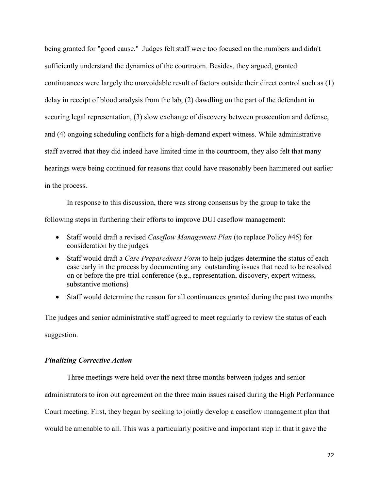being granted for "good cause." Judges felt staff were too focused on the numbers and didn't sufficiently understand the dynamics of the courtroom. Besides, they argued, granted continuances were largely the unavoidable result of factors outside their direct control such as (1) delay in receipt of blood analysis from the lab, (2) dawdling on the part of the defendant in securing legal representation, (3) slow exchange of discovery between prosecution and defense, and (4) ongoing scheduling conflicts for a high-demand expert witness. While administrative staff averred that they did indeed have limited time in the courtroom, they also felt that many hearings were being continued for reasons that could have reasonably been hammered out earlier in the process.

 In response to this discussion, there was strong consensus by the group to take the following steps in furthering their efforts to improve DUI caseflow management:

- Staff would draft a revised *Caseflow Management Plan* (to replace Policy #45) for consideration by the judges
- Staff would draft a *Case Preparedness Form* to help judges determine the status of each case early in the process by documenting any outstanding issues that need to be resolved on or before the pre-trial conference (e.g., representation, discovery, expert witness, substantive motions)
- Staff would determine the reason for all continuances granted during the past two months

The judges and senior administrative staff agreed to meet regularly to review the status of each suggestion.

### *Finalizing Corrective Action*

 Three meetings were held over the next three months between judges and senior administrators to iron out agreement on the three main issues raised during the High Performance Court meeting. First, they began by seeking to jointly develop a caseflow management plan that would be amenable to all. This was a particularly positive and important step in that it gave the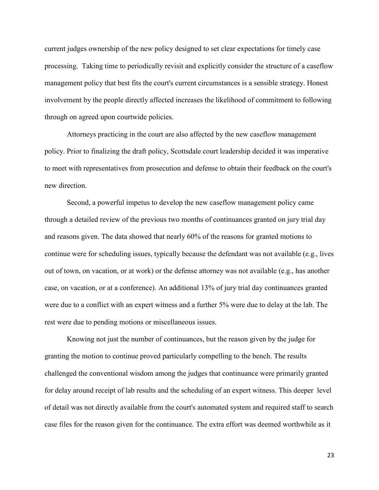current judges ownership of the new policy designed to set clear expectations for timely case processing. Taking time to periodically revisit and explicitly consider the structure of a caseflow management policy that best fits the court's current circumstances is a sensible strategy. Honest involvement by the people directly affected increases the likelihood of commitment to following through on agreed upon courtwide policies.

 Attorneys practicing in the court are also affected by the new caseflow management policy. Prior to finalizing the draft policy, Scottsdale court leadership decided it was imperative to meet with representatives from prosecution and defense to obtain their feedback on the court's new direction.

 Second, a powerful impetus to develop the new caseflow management policy came through a detailed review of the previous two months of continuances granted on jury trial day and reasons given. The data showed that nearly 60% of the reasons for granted motions to continue were for scheduling issues, typically because the defendant was not available (e.g., lives out of town, on vacation, or at work) or the defense attorney was not available (e.g., has another case, on vacation, or at a conference). An additional 13% of jury trial day continuances granted were due to a conflict with an expert witness and a further 5% were due to delay at the lab. The rest were due to pending motions or miscellaneous issues.

 Knowing not just the number of continuances, but the reason given by the judge for granting the motion to continue proved particularly compelling to the bench. The results challenged the conventional wisdom among the judges that continuance were primarily granted for delay around receipt of lab results and the scheduling of an expert witness. This deeper level of detail was not directly available from the court's automated system and required staff to search case files for the reason given for the continuance. The extra effort was deemed worthwhile as it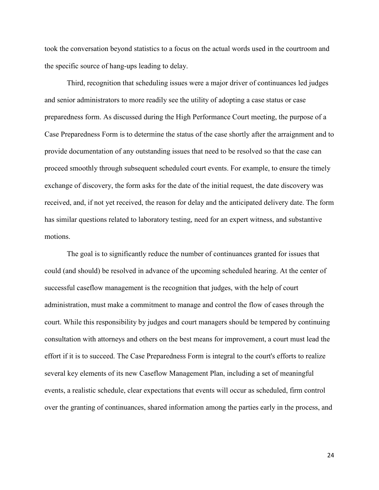took the conversation beyond statistics to a focus on the actual words used in the courtroom and the specific source of hang-ups leading to delay.

 Third, recognition that scheduling issues were a major driver of continuances led judges and senior administrators to more readily see the utility of adopting a case status or case preparedness form. As discussed during the High Performance Court meeting, the purpose of a Case Preparedness Form is to determine the status of the case shortly after the arraignment and to provide documentation of any outstanding issues that need to be resolved so that the case can proceed smoothly through subsequent scheduled court events. For example, to ensure the timely exchange of discovery, the form asks for the date of the initial request, the date discovery was received, and, if not yet received, the reason for delay and the anticipated delivery date. The form has similar questions related to laboratory testing, need for an expert witness, and substantive motions.

 The goal is to significantly reduce the number of continuances granted for issues that could (and should) be resolved in advance of the upcoming scheduled hearing. At the center of successful caseflow management is the recognition that judges, with the help of court administration, must make a commitment to manage and control the flow of cases through the court. While this responsibility by judges and court managers should be tempered by continuing consultation with attorneys and others on the best means for improvement, a court must lead the effort if it is to succeed. The Case Preparedness Form is integral to the court's efforts to realize several key elements of its new Caseflow Management Plan, including a set of meaningful events, a realistic schedule, clear expectations that events will occur as scheduled, firm control over the granting of continuances, shared information among the parties early in the process, and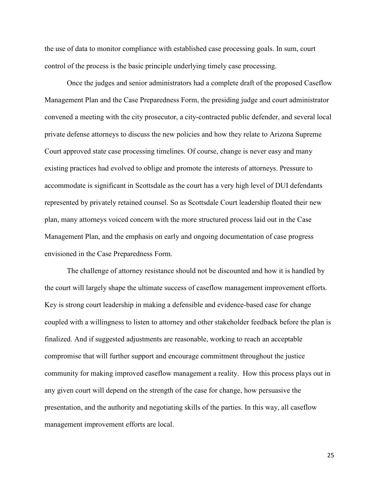the use of data to monitor compliance with established case processing goals. In sum, court control of the process is the basic principle underlying timely case processing.

 Once the judges and senior administrators had a complete draft of the proposed Caseflow Management Plan and the Case Preparedness Form, the presiding judge and court administrator convened a meeting with the city prosecutor, a city-contracted public defender, and several local private defense attorneys to discuss the new policies and how they relate to Arizona Supreme Court approved state case processing timelines. Of course, change is never easy and many existing practices had evolved to oblige and promote the interests of attorneys. Pressure to accommodate is significant in Scottsdale as the court has a very high level of DUI defendants represented by privately retained counsel. So as Scottsdale Court leadership floated their new plan, many attorneys voiced concern with the more structured process laid out in the Case Management Plan, and the emphasis on early and ongoing documentation of case progress envisioned in the Case Preparedness Form.

 The challenge of attorney resistance should not be discounted and how it is handled by the court will largely shape the ultimate success of caseflow management improvement efforts. Key is strong court leadership in making a defensible and evidence-based case for change coupled with a willingness to listen to attorney and other stakeholder feedback before the plan is finalized. And if suggested adjustments are reasonable, working to reach an acceptable compromise that will further support and encourage commitment throughout the justice community for making improved caseflow management a reality. How this process plays out in any given court will depend on the strength of the case for change, how persuasive the presentation, and the authority and negotiating skills of the parties. In this way, all caseflow management improvement efforts are local.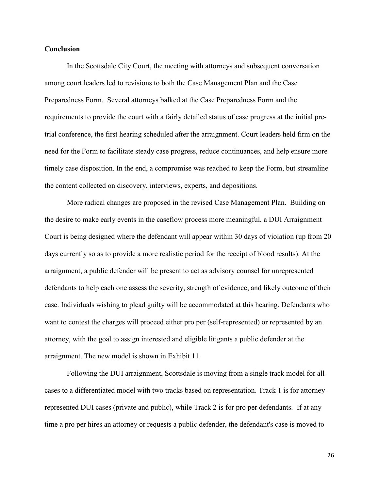#### **Conclusion**

 In the Scottsdale City Court, the meeting with attorneys and subsequent conversation among court leaders led to revisions to both the Case Management Plan and the Case Preparedness Form. Several attorneys balked at the Case Preparedness Form and the requirements to provide the court with a fairly detailed status of case progress at the initial pretrial conference, the first hearing scheduled after the arraignment. Court leaders held firm on the need for the Form to facilitate steady case progress, reduce continuances, and help ensure more timely case disposition. In the end, a compromise was reached to keep the Form, but streamline the content collected on discovery, interviews, experts, and depositions.

 More radical changes are proposed in the revised Case Management Plan. Building on the desire to make early events in the caseflow process more meaningful, a DUI Arraignment Court is being designed where the defendant will appear within 30 days of violation (up from 20 days currently so as to provide a more realistic period for the receipt of blood results). At the arraignment, a public defender will be present to act as advisory counsel for unrepresented defendants to help each one assess the severity, strength of evidence, and likely outcome of their case. Individuals wishing to plead guilty will be accommodated at this hearing. Defendants who want to contest the charges will proceed either pro per (self-represented) or represented by an attorney, with the goal to assign interested and eligible litigants a public defender at the arraignment. The new model is shown in Exhibit 11.

 Following the DUI arraignment, Scottsdale is moving from a single track model for all cases to a differentiated model with two tracks based on representation. Track 1 is for attorneyrepresented DUI cases (private and public), while Track 2 is for pro per defendants. If at any time a pro per hires an attorney or requests a public defender, the defendant's case is moved to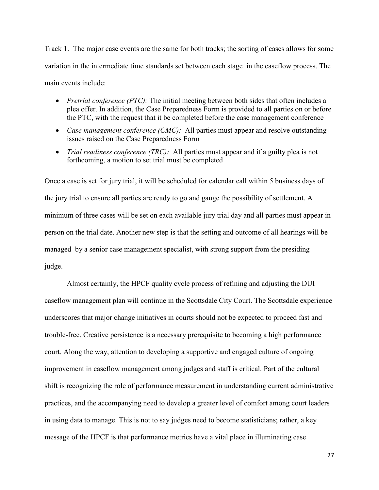Track 1. The major case events are the same for both tracks; the sorting of cases allows for some variation in the intermediate time standards set between each stage in the caseflow process. The main events include:

- *Pretrial conference (PTC):* The initial meeting between both sides that often includes a plea offer. In addition, the Case Preparedness Form is provided to all parties on or before the PTC, with the request that it be completed before the case management conference
- *Case management conference (CMC)*: All parties must appear and resolve outstanding issues raised on the Case Preparedness Form
- *Trial readiness conference (TRC)*: All parties must appear and if a guilty plea is not forthcoming, a motion to set trial must be completed

Once a case is set for jury trial, it will be scheduled for calendar call within 5 business days of the jury trial to ensure all parties are ready to go and gauge the possibility of settlement. A minimum of three cases will be set on each available jury trial day and all parties must appear in person on the trial date. Another new step is that the setting and outcome of all hearings will be managed by a senior case management specialist, with strong support from the presiding judge.

 Almost certainly, the HPCF quality cycle process of refining and adjusting the DUI caseflow management plan will continue in the Scottsdale City Court. The Scottsdale experience underscores that major change initiatives in courts should not be expected to proceed fast and trouble-free. Creative persistence is a necessary prerequisite to becoming a high performance court. Along the way, attention to developing a supportive and engaged culture of ongoing improvement in caseflow management among judges and staff is critical. Part of the cultural shift is recognizing the role of performance measurement in understanding current administrative practices, and the accompanying need to develop a greater level of comfort among court leaders in using data to manage. This is not to say judges need to become statisticians; rather, a key message of the HPCF is that performance metrics have a vital place in illuminating case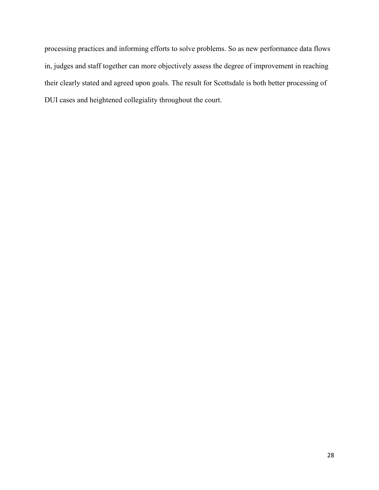processing practices and informing efforts to solve problems. So as new performance data flows in, judges and staff together can more objectively assess the degree of improvement in reaching their clearly stated and agreed upon goals. The result for Scottsdale is both better processing of DUI cases and heightened collegiality throughout the court.